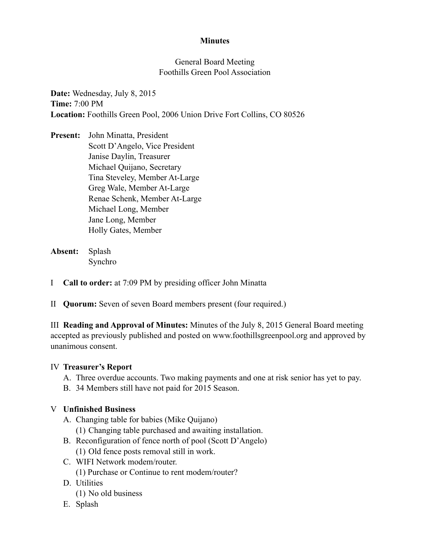## **Minutes**

## General Board Meeting Foothills Green Pool Association

**Date:** Wednesday, July 8, 2015 **Time:** 7:00 PM **Location:** Foothills Green Pool, 2006 Union Drive Fort Collins, CO 80526

**Present:** John Minatta, President Scott D'Angelo, Vice President Janise Daylin, Treasurer Michael Quijano, Secretary Tina Steveley, Member At-Large Greg Wale, Member At-Large Renae Schenk, Member At-Large Michael Long, Member Jane Long, Member Holly Gates, Member

- **Absent:** Splash Synchro
- I **Call to order:** at 7:09 PM by presiding officer John Minatta
- II **Quorum:** Seven of seven Board members present (four required.)

III **Reading and Approval of Minutes:** Minutes of the July 8, 2015 General Board meeting accepted as previously published and posted on www.foothillsgreenpool.org and approved by unanimous consent.

## IV **Treasurer's Report**

- A. Three overdue accounts. Two making payments and one at risk senior has yet to pay.
- B. 34 Members still have not paid for 2015 Season.

## V **Unfinished Business**

- A. Changing table for babies (Mike Quijano)
	- (1) Changing table purchased and awaiting installation.
- B. Reconfiguration of fence north of pool (Scott D'Angelo)
	- (1) Old fence posts removal still in work.
- C. WIFI Network modem/router.
	- (1) Purchase or Continue to rent modem/router?
- D. Utilities
	- (1) No old business
- E. Splash